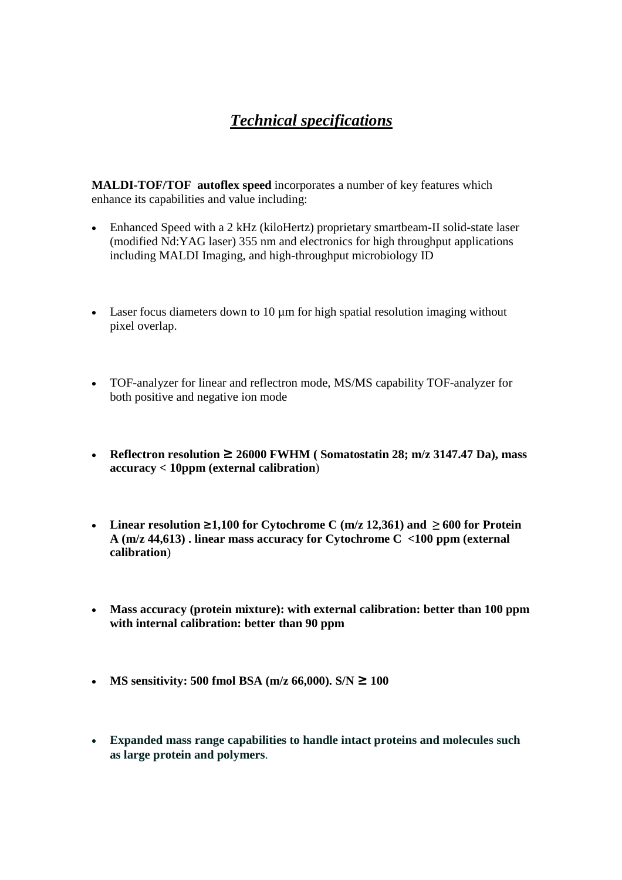## *Technical specifications*

**MALDI-TOF/TOF autoflex speed** incorporates a number of key features which enhance its capabilities and value including:

- Enhanced Speed with a 2 kHz (kiloHertz) proprietary smartbeam-II solid-state laser (modified Nd:YAG laser) 355 nm and electronics for high throughput applications including MALDI Imaging, and high-throughput microbiology ID
- Laser focus diameters down to 10  $\mu$ m for high spatial resolution imaging without pixel overlap.
- TOF-analyzer for linear and reflectron mode, MS/MS capability TOF-analyzer for both positive and negative ion mode
- **Reflectron resolution ≥ 26000 FWHM ( Somatostatin 28; m/z 3147.47 Da), mass accuracy < 10ppm (external calibration**)
- Linear resolution  $\geq 1,100$  for Cytochrome C (m/z 12,361) and  $\geq 600$  for Protein **A (m/z 44,613) . linear mass accuracy for Cytochrome C <100 ppm (external calibration**)
- **Mass accuracy (protein mixture): with external calibration: better than 100 ppm with internal calibration: better than 90 ppm**
- **MS sensitivity: 500 fmol BSA (m/z 66,000).**  $S/N \ge 100$
- **Expanded mass range capabilities to handle intact proteins and molecules such as large protein and polymers**.